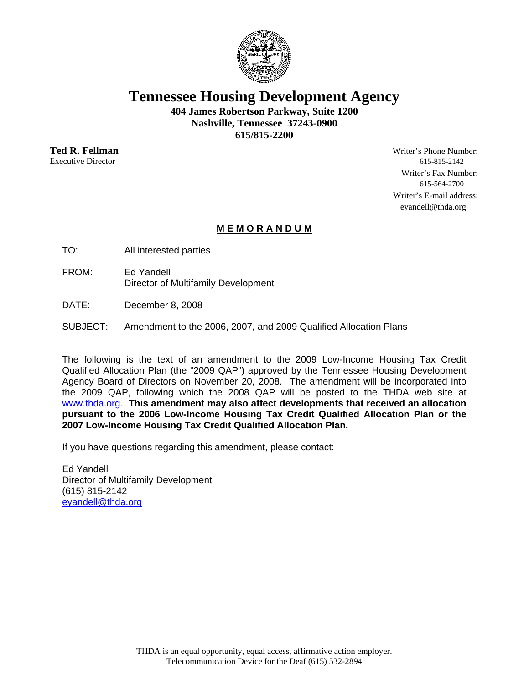

**Tennessee Housing Development Agency** 

**404 James Robertson Parkway, Suite 1200 Nashville, Tennessee 37243-0900 615/815-2200** 

**Ted R. Fellman** Writer's Phone Number: Executive Director 615-815-2142 Writer's Fax Number: 615-564-2700 Writer's E-mail address: eyandell@thda.org

# **M E M O R A N D U M**

- TO: All interested parties
- FROM: Ed Yandell Director of Multifamily Development
- DATE: December 8, 2008
- SUBJECT: Amendment to the 2006, 2007, and 2009 Qualified Allocation Plans

The following is the text of an amendment to the 2009 Low-Income Housing Tax Credit Qualified Allocation Plan (the "2009 QAP") approved by the Tennessee Housing Development Agency Board of Directors on November 20, 2008. The amendment will be incorporated into the 2009 QAP, following which the 2008 QAP will be posted to the THDA web site at www.thda.org. **This amendment may also affect developments that received an allocation pursuant to the 2006 Low-Income Housing Tax Credit Qualified Allocation Plan or the 2007 Low-Income Housing Tax Credit Qualified Allocation Plan.**

If you have questions regarding this amendment, please contact:

Ed Yandell Director of Multifamily Development (615) 815-2142 eyandell@thda.org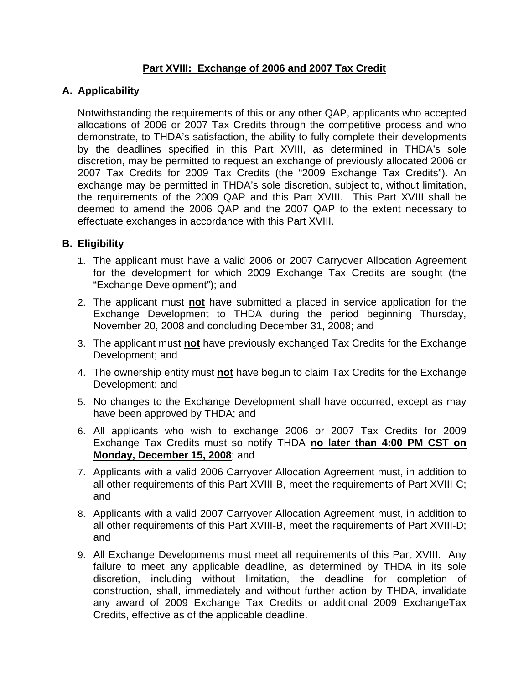# **Part XVIII: Exchange of 2006 and 2007 Tax Credit**

### **A. Applicability**

Notwithstanding the requirements of this or any other QAP, applicants who accepted allocations of 2006 or 2007 Tax Credits through the competitive process and who demonstrate, to THDA's satisfaction, the ability to fully complete their developments by the deadlines specified in this Part XVIII, as determined in THDA's sole discretion, may be permitted to request an exchange of previously allocated 2006 or 2007 Tax Credits for 2009 Tax Credits (the "2009 Exchange Tax Credits"). An exchange may be permitted in THDA's sole discretion, subject to, without limitation, the requirements of the 2009 QAP and this Part XVIII. This Part XVIII shall be deemed to amend the 2006 QAP and the 2007 QAP to the extent necessary to effectuate exchanges in accordance with this Part XVIII.

#### **B. Eligibility**

- 1. The applicant must have a valid 2006 or 2007 Carryover Allocation Agreement for the development for which 2009 Exchange Tax Credits are sought (the "Exchange Development"); and
- 2. The applicant must **not** have submitted a placed in service application for the Exchange Development to THDA during the period beginning Thursday, November 20, 2008 and concluding December 31, 2008; and
- 3. The applicant must **not** have previously exchanged Tax Credits for the Exchange Development; and
- 4. The ownership entity must **not** have begun to claim Tax Credits for the Exchange Development; and
- 5. No changes to the Exchange Development shall have occurred, except as may have been approved by THDA; and
- 6. All applicants who wish to exchange 2006 or 2007 Tax Credits for 2009 Exchange Tax Credits must so notify THDA **no later than 4:00 PM CST on Monday, December 15, 2008**; and
- 7. Applicants with a valid 2006 Carryover Allocation Agreement must, in addition to all other requirements of this Part XVIII-B, meet the requirements of Part XVIII-C; and
- 8. Applicants with a valid 2007 Carryover Allocation Agreement must, in addition to all other requirements of this Part XVIII-B, meet the requirements of Part XVIII-D; and
- 9. All Exchange Developments must meet all requirements of this Part XVIII. Any failure to meet any applicable deadline, as determined by THDA in its sole discretion, including without limitation, the deadline for completion of construction, shall, immediately and without further action by THDA, invalidate any award of 2009 Exchange Tax Credits or additional 2009 ExchangeTax Credits, effective as of the applicable deadline.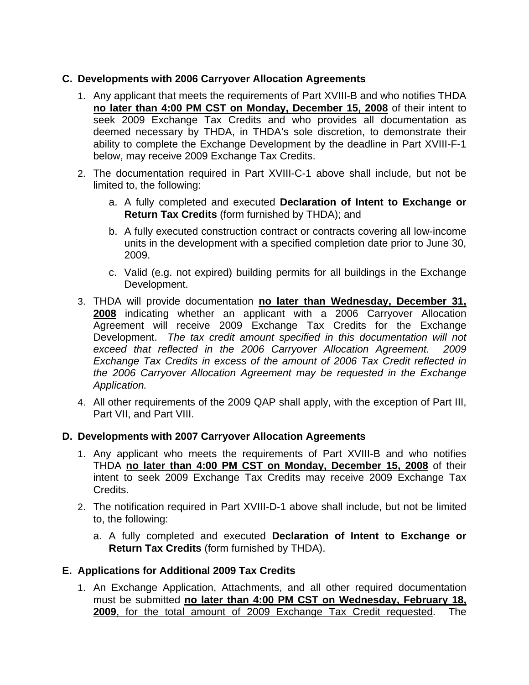# **C. Developments with 2006 Carryover Allocation Agreements**

- 1. Any applicant that meets the requirements of Part XVIII-B and who notifies THDA **no later than 4:00 PM CST on Monday, December 15, 2008** of their intent to seek 2009 Exchange Tax Credits and who provides all documentation as deemed necessary by THDA, in THDA's sole discretion, to demonstrate their ability to complete the Exchange Development by the deadline in Part XVIII-F-1 below, may receive 2009 Exchange Tax Credits.
- 2. The documentation required in Part XVIII-C-1 above shall include, but not be limited to, the following:
	- a. A fully completed and executed **Declaration of Intent to Exchange or Return Tax Credits** (form furnished by THDA); and
	- b. A fully executed construction contract or contracts covering all low-income units in the development with a specified completion date prior to June 30, 2009.
	- c. Valid (e.g. not expired) building permits for all buildings in the Exchange Development.
- 3. THDA will provide documentation **no later than Wednesday, December 31, 2008** indicating whether an applicant with a 2006 Carryover Allocation Agreement will receive 2009 Exchange Tax Credits for the Exchange Development. *The tax credit amount specified in this documentation will not exceed that reflected in the 2006 Carryover Allocation Agreement. 2009 Exchange Tax Credits in excess of the amount of 2006 Tax Credit reflected in the 2006 Carryover Allocation Agreement may be requested in the Exchange Application.*
- 4. All other requirements of the 2009 QAP shall apply, with the exception of Part III, Part VII, and Part VIII.

# **D. Developments with 2007 Carryover Allocation Agreements**

- 1. Any applicant who meets the requirements of Part XVIII-B and who notifies THDA **no later than 4:00 PM CST on Monday, December 15, 2008** of their intent to seek 2009 Exchange Tax Credits may receive 2009 Exchange Tax Credits.
- 2. The notification required in Part XVIII-D-1 above shall include, but not be limited to, the following:
	- a. A fully completed and executed **Declaration of Intent to Exchange or Return Tax Credits** (form furnished by THDA).

#### **E. Applications for Additional 2009 Tax Credits**

1. An Exchange Application, Attachments, and all other required documentation must be submitted **no later than 4:00 PM CST on Wednesday, February 18, 2009**, for the total amount of 2009 Exchange Tax Credit requested. The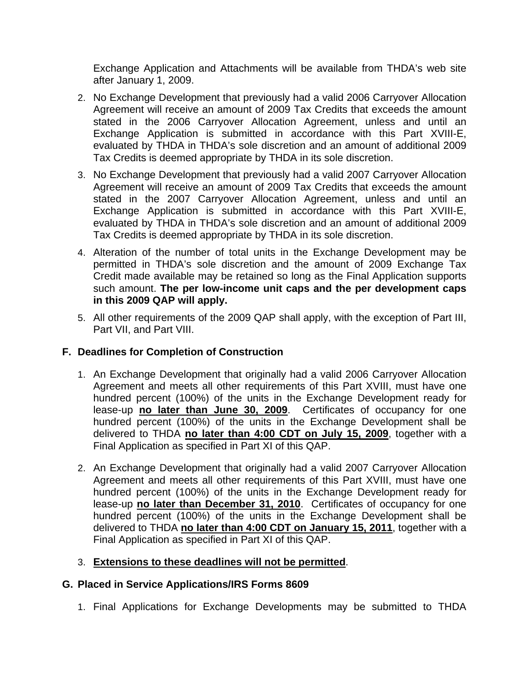Exchange Application and Attachments will be available from THDA's web site after January 1, 2009.

- 2. No Exchange Development that previously had a valid 2006 Carryover Allocation Agreement will receive an amount of 2009 Tax Credits that exceeds the amount stated in the 2006 Carryover Allocation Agreement, unless and until an Exchange Application is submitted in accordance with this Part XVIII-E, evaluated by THDA in THDA's sole discretion and an amount of additional 2009 Tax Credits is deemed appropriate by THDA in its sole discretion.
- 3. No Exchange Development that previously had a valid 2007 Carryover Allocation Agreement will receive an amount of 2009 Tax Credits that exceeds the amount stated in the 2007 Carryover Allocation Agreement, unless and until an Exchange Application is submitted in accordance with this Part XVIII-E, evaluated by THDA in THDA's sole discretion and an amount of additional 2009 Tax Credits is deemed appropriate by THDA in its sole discretion.
- 4. Alteration of the number of total units in the Exchange Development may be permitted in THDA's sole discretion and the amount of 2009 Exchange Tax Credit made available may be retained so long as the Final Application supports such amount. **The per low-income unit caps and the per development caps in this 2009 QAP will apply.**
- 5. All other requirements of the 2009 QAP shall apply, with the exception of Part III, Part VII, and Part VIII.

# **F. Deadlines for Completion of Construction**

- 1. An Exchange Development that originally had a valid 2006 Carryover Allocation Agreement and meets all other requirements of this Part XVIII, must have one hundred percent (100%) of the units in the Exchange Development ready for lease-up **no later than June 30, 2009**. Certificates of occupancy for one hundred percent (100%) of the units in the Exchange Development shall be delivered to THDA **no later than 4:00 CDT on July 15, 2009**, together with a Final Application as specified in Part XI of this QAP.
- 2. An Exchange Development that originally had a valid 2007 Carryover Allocation Agreement and meets all other requirements of this Part XVIII, must have one hundred percent (100%) of the units in the Exchange Development ready for lease-up **no later than December 31, 2010**. Certificates of occupancy for one hundred percent (100%) of the units in the Exchange Development shall be delivered to THDA **no later than 4:00 CDT on January 15, 2011**, together with a Final Application as specified in Part XI of this QAP.

# 3. **Extensions to these deadlines will not be permitted**.

# **G. Placed in Service Applications/IRS Forms 8609**

1. Final Applications for Exchange Developments may be submitted to THDA